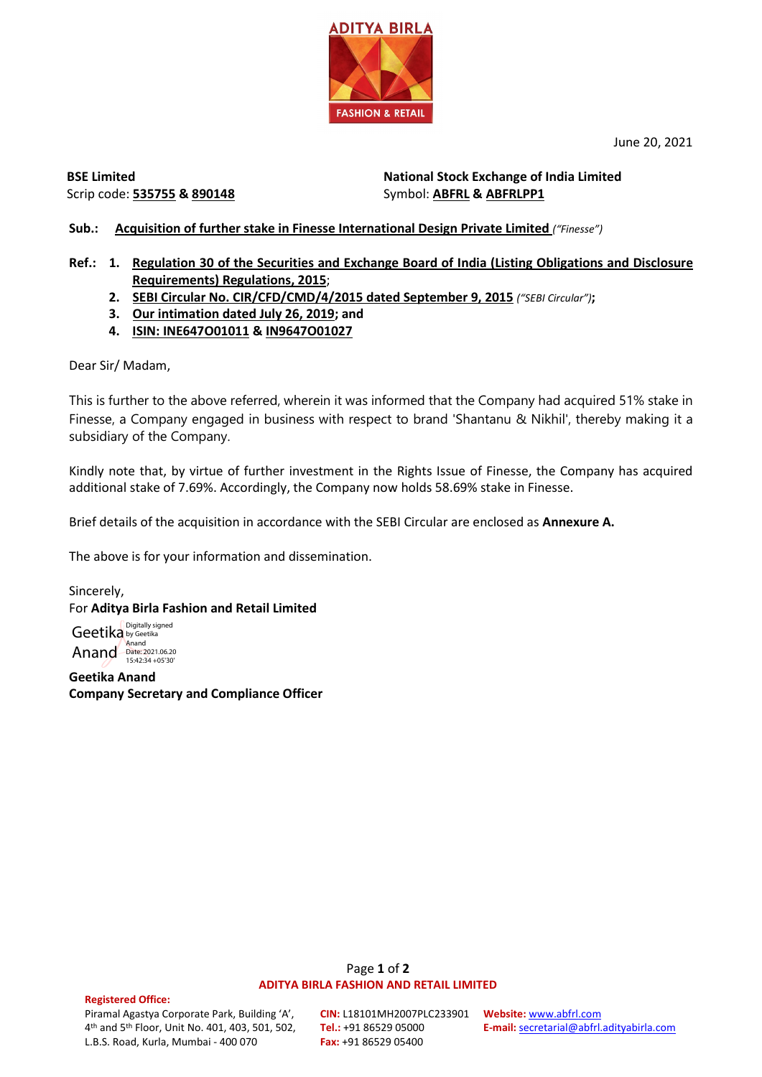June 20, 2021



**BSE Limited** Scrip code: **535755 & 890148**

**National Stock Exchange of India Limited**  Symbol: **ABFRL & ABFRLPP1**

**Sub.: Acquisition of further stake in Finesse International Design Private Limited** *("Finesse")*

- **Ref.: 1. Regulation 30 of the Securities and Exchange Board of India (Listing Obligations and Disclosure Requirements) Regulations, 2015**;
	- **2. SEBI Circular No. CIR/CFD/CMD/4/2015 dated September 9, 2015** *("SEBI Circular")***;**
	- **3. Our intimation dated July 26, 2019; and**
	- **4. ISIN: INE647O01011 & IN9647O01027**

Dear Sir/ Madam,

This is further to the above referred, wherein it was informed that the Company had acquired 51% stake in Finesse, a Company engaged in business with respect to brand 'Shantanu & Nikhil', thereby making it a subsidiary of the Company.

Kindly note that, by virtue of further investment in the Rights Issue of Finesse, the Company has acquired additional stake of 7.69%. Accordingly, the Company now holds 58.69% stake in Finesse.

Brief details of the acquisition in accordance with the SEBI Circular are enclosed as **Annexure A.**

The above is for your information and dissemination.

Sincerely, For **Aditya Birla Fashion and Retail Limited**

Geetika Anand Digitally signed by Geetika Anand Date: 2021.06.20 15:42:34 +05'30'

**Geetika Anand Company Secretary and Compliance Officer**

## Page **1** of **2 ADITYA BIRLA FASHION AND RETAIL LIMITED**

#### **Registered Office:**

Piramal Agastya Corporate Park, Building 'A', 4th and 5th Floor, Unit No. 401, 403, 501, 502, L.B.S. Road, Kurla, Mumbai - 400 070

**CIN:** L18101MH2007PLC233901 **Website:** [www.abfrl.com](http://www.abfrl.com/) **Tel.:** +91 86529 05000 **Fax:** +91 86529 05400

**E-mail:** [secretarial@abfrl.adityabirla.com](mailto:secretarial@abfrl.adityabirla.com)